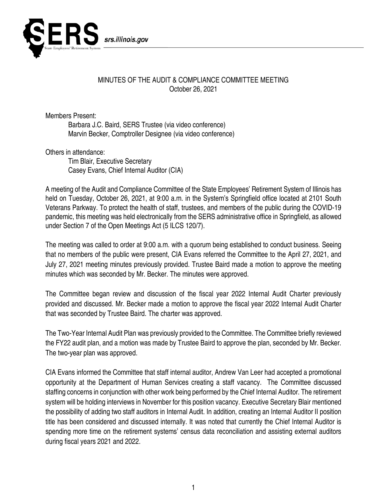

## MINUTES OF THE AUDIT & COMPLIANCE COMMITTEE MEETING October 26, 2021

Members Present:

Barbara J.C. Baird, SERS Trustee (via video conference) Marvin Becker, Comptroller Designee (via video conference)

Others in attendance:

Tim Blair, Executive Secretary Casey Evans, Chief Internal Auditor (CIA)

A meeting of the Audit and Compliance Committee of the State Employees' Retirement System of Illinois has held on Tuesday, October 26, 2021, at 9:00 a.m. in the System's Springfield office located at 2101 South Veterans Parkway. To protect the health of staff, trustees, and members of the public during the COVID-19 pandemic, this meeting was held electronically from the SERS administrative office in Springfield, as allowed under Section 7 of the Open Meetings Act (5 ILCS 120/7).

The meeting was called to order at 9:00 a.m. with a quorum being established to conduct business. Seeing that no members of the public were present, CIA Evans referred the Committee to the April 27, 2021, and July 27, 2021 meeting minutes previously provided. Trustee Baird made a motion to approve the meeting minutes which was seconded by Mr. Becker. The minutes were approved.

The Committee began review and discussion of the fiscal year 2022 Internal Audit Charter previously provided and discussed. Mr. Becker made a motion to approve the fiscal year 2022 Internal Audit Charter that was seconded by Trustee Baird. The charter was approved.

The Two-Year Internal Audit Plan was previously provided to the Committee. The Committee briefly reviewed the FY22 audit plan, and a motion was made by Trustee Baird to approve the plan, seconded by Mr. Becker. The two-year plan was approved.

CIA Evans informed the Committee that staff internal auditor, Andrew Van Leer had accepted a promotional opportunity at the Department of Human Services creating a staff vacancy. The Committee discussed staffing concerns in conjunction with other work being performed by the Chief Internal Auditor. The retirement system will be holding interviews in November for this position vacancy. Executive Secretary Blair mentioned the possibility of adding two staff auditors in Internal Audit. In addition, creating an Internal Auditor II position title has been considered and discussed internally. It was noted that currently the Chief Internal Auditor is spending more time on the retirement systems' census data reconciliation and assisting external auditors during fiscal years 2021 and 2022.